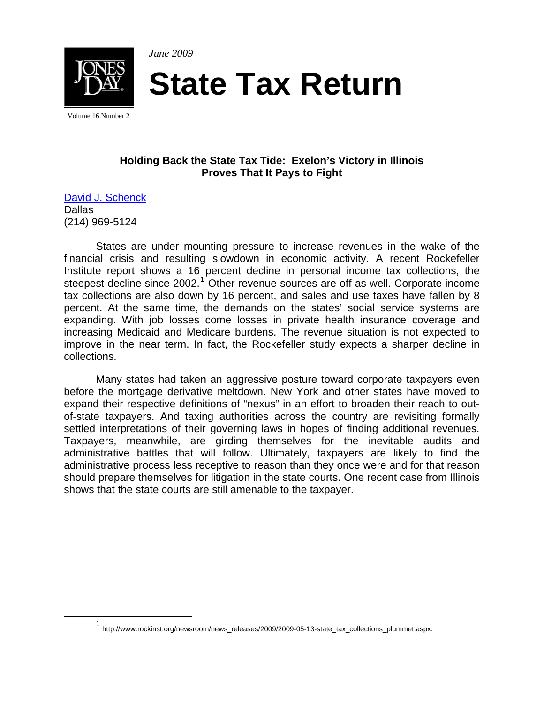

*June 2009* 

## **State Tax Return**

Volume 16 Number 2

## **Holding Back the State Tax Tide: Exelon's Victory in Illinois Proves That It Pays to Fight**

[David J. Schenck](http://www.jonesday.com/dschenck/) Dallas (214) 969-5124

States are under mounting pressure to increase revenues in the wake of the financial crisis and resulting slowdown in economic activity. A recent Rockefeller Institute report shows a 16 percent decline in personal income tax collections, the steepest decline since  $2002$ .<sup>[1](#page-0-0)</sup> Other revenue sources are off as well. Corporate income tax collections are also down by 16 percent, and sales and use taxes have fallen by 8 percent. At the same time, the demands on the states' social service systems are expanding. With job losses come losses in private health insurance coverage and increasing Medicaid and Medicare burdens. The revenue situation is not expected to improve in the near term. In fact, the Rockefeller study expects a sharper decline in collections.

Many states had taken an aggressive posture toward corporate taxpayers even before the mortgage derivative meltdown. New York and other states have moved to expand their respective definitions of "nexus" in an effort to broaden their reach to outof-state taxpayers. And taxing authorities across the country are revisiting formally settled interpretations of their governing laws in hopes of finding additional revenues. Taxpayers, meanwhile, are girding themselves for the inevitable audits and administrative battles that will follow. Ultimately, taxpayers are likely to find the administrative process less receptive to reason than they once were and for that reason should prepare themselves for litigation in the state courts. One recent case from Illinois shows that the state courts are still amenable to the taxpayer.

<span id="page-0-0"></span><sup>1</sup> http://www.rockinst.org/newsroom/news\_releases/2009/2009-05-13-state\_tax\_collections\_plummet.aspx.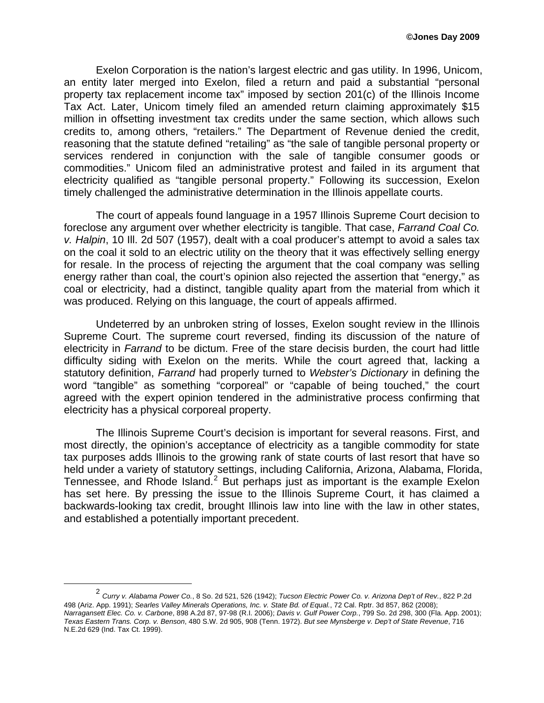Exelon Corporation is the nation's largest electric and gas utility. In 1996, Unicom, an entity later merged into Exelon, filed a return and paid a substantial "personal property tax replacement income tax" imposed by section 201(c) of the Illinois Income Tax Act. Later, Unicom timely filed an amended return claiming approximately \$15 million in offsetting investment tax credits under the same section, which allows such credits to, among others, "retailers." The Department of Revenue denied the credit, reasoning that the statute defined "retailing" as "the sale of tangible personal property or services rendered in conjunction with the sale of tangible consumer goods or commodities." Unicom filed an administrative protest and failed in its argument that electricity qualified as "tangible personal property." Following its succession, Exelon timely challenged the administrative determination in the Illinois appellate courts.

The court of appeals found language in a 1957 Illinois Supreme Court decision to foreclose any argument over whether electricity is tangible. That case, *Farrand Coal Co. v. Halpin*, 10 Ill. 2d 507 (1957), dealt with a coal producer's attempt to avoid a sales tax on the coal it sold to an electric utility on the theory that it was effectively selling energy for resale. In the process of rejecting the argument that the coal company was selling energy rather than coal, the court's opinion also rejected the assertion that "energy," as coal or electricity, had a distinct, tangible quality apart from the material from which it was produced. Relying on this language, the court of appeals affirmed.

Undeterred by an unbroken string of losses, Exelon sought review in the Illinois Supreme Court. The supreme court reversed, finding its discussion of the nature of electricity in *Farrand* to be dictum. Free of the stare decisis burden, the court had little difficulty siding with Exelon on the merits. While the court agreed that, lacking a statutory definition, *Farrand* had properly turned to *Webster's Dictionary* in defining the word "tangible" as something "corporeal" or "capable of being touched," the court agreed with the expert opinion tendered in the administrative process confirming that electricity has a physical corporeal property.

The Illinois Supreme Court's decision is important for several reasons. First, and most directly, the opinion's acceptance of electricity as a tangible commodity for state tax purposes adds Illinois to the growing rank of state courts of last resort that have so held under a variety of statutory settings, including California, Arizona, Alabama, Florida, Tennessee, and Rhode Island. $2$  But perhaps just as important is the example Exelon has set here. By pressing the issue to the Illinois Supreme Court, it has claimed a backwards-looking tax credit, brought Illinois law into line with the law in other states, and established a potentially important precedent.

<span id="page-1-0"></span><sup>2</sup> *Curry v. Alabama Power Co.*, 8 So. 2d 521, 526 (1942); *Tucson Electric Power Co. v. Arizona Dep't of Rev.*, 822 P.2d 498 (Ariz. App. 1991); *Searles Valley Minerals Operations, Inc. v. State Bd. of Equal.*, 72 Cal. Rptr. 3d 857, 862 (2008); *Narragansett Elec. Co. v. Carbone*, 898 A.2d 87, 97-98 (R.I. 2006); *Davis v. Gulf Power Corp.*, 799 So. 2d 298, 300 (Fla. App. 2001); *Texas Eastern Trans. Corp. v. Benson*, 480 S.W. 2d 905, 908 (Tenn. 1972). *But see Mynsberge v. Dep't of State Revenue*, 716 N.E.2d 629 (Ind. Tax Ct. 1999).